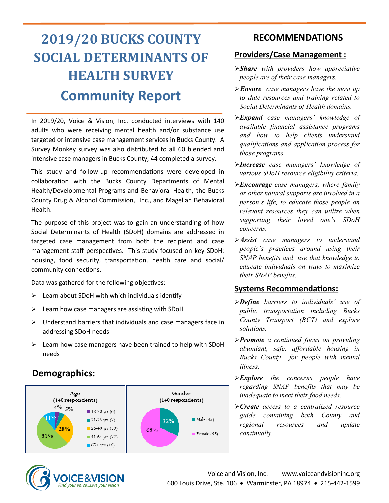# **2019/20 BUCKS COUNTY SOCIAL DETERMINANTS OF HEALTH SURVEY Community Report**

In 2019/20, Voice & Vision, Inc. conducted interviews with 140 adults who were receiving mental health and/or substance use targeted or intensive case management services in Bucks County. A Survey Monkey survey was also distributed to all 60 blended and intensive case managers in Bucks County; 44 completed a survey.

This study and follow-up recommendations were developed in collaboration with the Bucks County Departments of Mental Health/Developmental Programs and Behavioral Health, the Bucks County Drug & Alcohol Commission, Inc., and Magellan Behavioral Health.

The purpose of this project was to gain an understanding of how Social Determinants of Health (SDoH) domains are addressed in targeted case management from both the recipient and case management staff perspectives. This study focused on key SDoH: housing, food security, transportation, health care and social/ community connections.

Data was gathered for the following objectives:

- $\triangleright$  Learn about SDoH with which individuals identify
- ➢ Learn how case managers are assisting with SDoH
- $\triangleright$  Understand barriers that individuals and case managers face in addressing SDoH needs
- ➢ Learn how case managers have been trained to help with SDoH needs

## **Demographics:**



**VOICE&VISION** ind your voice...Live your vision

### **RECOMMENDATIONS**

#### **Providers/Case Management :**

- ➢*Share with providers how appreciative people are of their case managers.*
- ➢*Ensure case managers have the most up to date resources and training related to Social Determinants of Health domains.*
- ➢*Expand case managers' knowledge of available financial assistance programs and how to help clients understand qualifications and application process for those programs.*
- ➢*Increase case managers' knowledge of various SDoH resource eligibility criteria.*
- ➢*Encourage case managers, where family or other natural supports are involved in a person's life, to educate those people on relevant resources they can utilize when supporting their loved one's SDoH concerns.*
- ➢*Assist case managers to understand people's practices around using their SNAP benefits and use that knowledge to educate individuals on ways to maximize their SNAP benefits.*

#### **Systems Recommendations:**

- ➢*Define barriers to individuals' use of public transportation including Bucks County Transport (BCT) and explore solutions.*
- ➢*Promote a continued focus on providing abundant, safe, affordable housing in Bucks County for people with mental illness.*
- ➢*Explore the concerns people have regarding SNAP benefits that may be inadequate to meet their food needs.*
- ➢*Create access to a centralized resource guide containing both County and regional resources and update continually.*



Voice and Vision, Inc. www.voiceandvisioninc.org 600 Louis Drive, Ste. 106 • Warminster, PA 18974 • 215-442-1599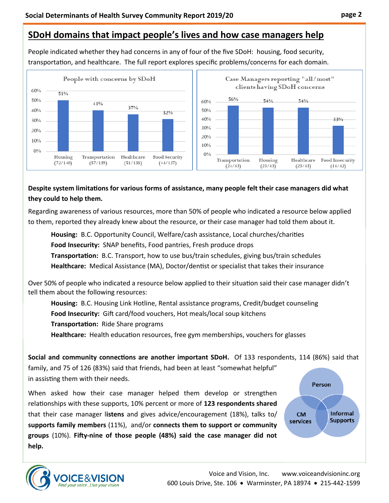## **SDoH domains that impact people's lives and how case managers help**

People indicated whether they had concerns in any of four of the five SDoH: housing, food security, transportation, and healthcare. The full report explores specific problems/concerns for each domain.



#### **Despite system limitations for various forms of assistance, many people felt their case managers did what they could to help them.**

Regarding awareness of various resources, more than 50% of people who indicated a resource below applied to them, reported they already knew about the resource, or their case manager had told them about it.

**Housing:** B.C. Opportunity Council, Welfare/cash assistance, Local churches/charities

**Food Insecurity:** SNAP benefits, Food pantries, Fresh produce drops

**Transportation:** B.C. Transport, how to use bus/train schedules, giving bus/train schedules **Healthcare:** Medical Assistance (MA), Doctor/dentist or specialist that takes their insurance

Over 50% of people who indicated a resource below applied to their situation said their case manager didn't tell them about the following resources:

**Housing:** B.C. Housing Link Hotline, Rental assistance programs, Credit/budget counseling

**Food Insecurity:** Gift card/food vouchers, Hot meals/local soup kitchens

**Transportation:** Ride Share programs

**Healthcare:** Health education resources, free gym memberships, vouchers for glasses

**Social and community connections are another important SDoH.** Of 133 respondents, 114 (86%) said that family, and 75 of 126 (83%) said that friends, had been at least "somewhat helpful" in assisting them with their needs.

When asked how their case manager helped them develop or strengthen relationships with these supports, 10% percent or more of **123 respondents shared** that their case manager l**istens** and gives advice/encouragement (18%), talks to/ **supports family members** (11%), and/or **connects them to support or community groups** (10%). **Fifty-nine of those people (48%) said the case manager did not help.** 



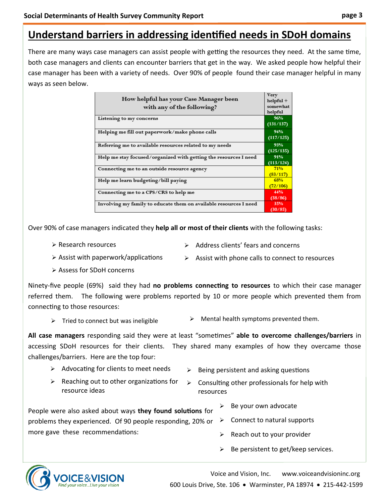## **Understand barriers in addressing identified needs in SDoH domains**

There are many ways case managers can assist people with getting the resources they need. At the same time, both case managers and clients can encounter barriers that get in the way. We asked people how helpful their case manager has been with a variety of needs. Over 90% of people found their case manager helpful in many ways as seen below.

| How helpful has your Case Manager been<br>with any of the following? | Very<br>$helpful +$<br>somewhat<br>helpful |
|----------------------------------------------------------------------|--------------------------------------------|
| Listening to my concerns                                             | 96%<br>(131/137)                           |
| Helping me fill out paperwork/make phone calls                       | 94%<br>(117/125)                           |
| Referring me to available resources related to my needs              | 93%<br>(125/135)                           |
| Help me stay focused/organized with getting the resources I need     | 91%<br>(113/124)                           |
| Connecting me to an outside resource agency                          | 71%<br>(83/117)                            |
| Help me learn budgeting/bill paying                                  | 68%<br>(72/106)                            |
| Connecting me to a CPS/CRS to help me                                | 44%<br>(38/86)                             |
| Involving my family to educate them on available resources I need    | 35%<br>(30/85)                             |

Over 90% of case managers indicated they **help all or most of their clients** with the following tasks:

➢ Research resources

- ➢ Address clients' fears and concerns
- $\triangleright$  Assist with paperwork/applications
- $\triangleright$  Assist with phone calls to connect to resources
- ➢ Assess for SDoH concerns

Ninety-five people (69%) said they had **no problems connecting to resources** to which their case manager referred them. The following were problems reported by 10 or more people which prevented them from connecting to those resources:

- 
- $\triangleright$  Tried to connect but was ineligible  $\triangleright$  Mental health symptoms prevented them.

**All case managers** responding said they were at least "sometimes" **able to overcome challenges/barriers** in accessing SDoH resources for their clients. They shared many examples of how they overcame those challenges/barriers. Here are the top four:

- ➢ Advocating for clients to meet needs
- $\triangleright$  Being persistent and asking questions
- $\triangleright$  Reaching out to other organizations for resource ideas

 $\triangleright$  Consulting other professionals for help with resources

People were also asked about ways **they found solutions** for problems they experienced. Of 90 people responding, 20% or more gave these recommendations:

- Be your own advocate
- $\triangleright$  Connect to natural supports
- $\triangleright$  Reach out to your provider
- $\triangleright$  Be persistent to get/keep services.